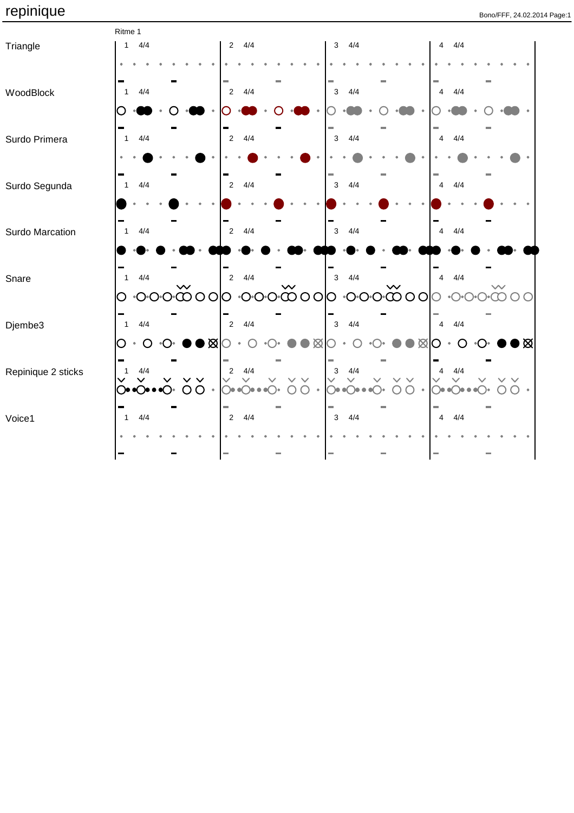|                    | Ritme 1                                              |                                       |                                                                                      |                                                                            |                                                             |
|--------------------|------------------------------------------------------|---------------------------------------|--------------------------------------------------------------------------------------|----------------------------------------------------------------------------|-------------------------------------------------------------|
| Triangle           | 4/4<br>$\mathbf{1}$                                  | 4/4<br>$2^{\circ}$                    |                                                                                      | 4/4<br>$\mathbf{3}$                                                        | $4/4\,$<br>$\overline{4}$                                   |
|                    |                                                      |                                       |                                                                                      |                                                                            |                                                             |
|                    |                                                      | ٠                                     |                                                                                      |                                                                            |                                                             |
| WoodBlock          | 4/4<br>$\mathbf{1}$                                  | 4/4<br>$\sqrt{2}$                     |                                                                                      | 4/4<br>$\mathbf{3}$                                                        | 4/4<br>4                                                    |
|                    |                                                      |                                       |                                                                                      |                                                                            |                                                             |
| Surdo Primera      | 4/4<br>$\mathbf{1}$                                  | 4/4<br>$\sqrt{2}$                     |                                                                                      | 4/4<br>$\mathbf{3}$                                                        | 4/4<br>$\overline{4}$                                       |
|                    |                                                      |                                       |                                                                                      |                                                                            |                                                             |
|                    |                                                      |                                       |                                                                                      |                                                                            |                                                             |
| Surdo Segunda      | 4/4<br>$\mathbf{1}$                                  | 4/4<br>$\sqrt{2}$                     |                                                                                      | $\mathbf{3}$<br>4/4                                                        | 4/4<br>$\overline{4}$                                       |
|                    |                                                      |                                       |                                                                                      |                                                                            |                                                             |
|                    |                                                      |                                       |                                                                                      |                                                                            |                                                             |
| Surdo Marcation    | 4/4<br>$\mathbf{1}$                                  | 4/4<br>$\overline{2}$                 |                                                                                      | $\mathbf{3}$<br>4/4                                                        | 4/4<br>$\overline{4}$                                       |
|                    |                                                      |                                       |                                                                                      |                                                                            |                                                             |
| Snare              | 4/4<br>$\mathbf{1}$                                  | $\blacksquare$<br>4/4<br>$\sqrt{2}$   |                                                                                      | 4/4<br>$\mathbf{3}$                                                        | 4/4<br>$\overline{4}$                                       |
|                    |                                                      |                                       |                                                                                      | 00000000                                                                   |                                                             |
|                    | $\cdot$ O $\cdot$ O $\cdot$ $\circ$ O $\circ$ O<br>O | O                                     |                                                                                      |                                                                            |                                                             |
| Djembe3            | 4/4<br>$\overline{1}$                                | 4/4<br>$\overline{2}$                 |                                                                                      | 4/4<br>$\mathbf{3}$                                                        | 4/4<br>$\overline{4}$                                       |
|                    | O<br>O<br>$\bullet$                                  | $\bullet \boxtimes$                   | $\boxtimes$                                                                          | ⊠                                                                          | ▶⊠<br>O                                                     |
|                    |                                                      |                                       |                                                                                      |                                                                            |                                                             |
| Repinique 2 sticks | $4/4\,$<br>$\mathbf{1}$                              | $4/4\,$<br>$\sqrt{2}$<br>$\checkmark$ |                                                                                      | 4/4<br>$\ensuremath{\mathsf{3}}$                                           | $4/4\,$<br>4                                                |
|                    | $\overline{O}$                                       | $\circ$<br>6€ (                       | $\bullet$ $\bullet$ $\bullet$ $\bullet$ $\bullet$ $\bullet$ $\bullet$ $\bullet$<br>∩ | $\bigcirc$ o $\bigcirc$ o $\bullet$ o $\bigcirc$ o $\bullet$<br>$\bigcirc$ | $\bullet$ $\bigcirc \bullet \bullet \bigcirc \bullet$<br>○● |
|                    |                                                      |                                       |                                                                                      |                                                                            |                                                             |
| Voice1             | 4/4<br>$\mathbf{1}$                                  | 4/4<br>$\overline{2}$                 |                                                                                      | 4/4<br>$\mathbf{3}$                                                        | 4/4<br>$\overline{4}$                                       |
|                    |                                                      |                                       |                                                                                      |                                                                            |                                                             |
|                    |                                                      |                                       |                                                                                      |                                                                            |                                                             |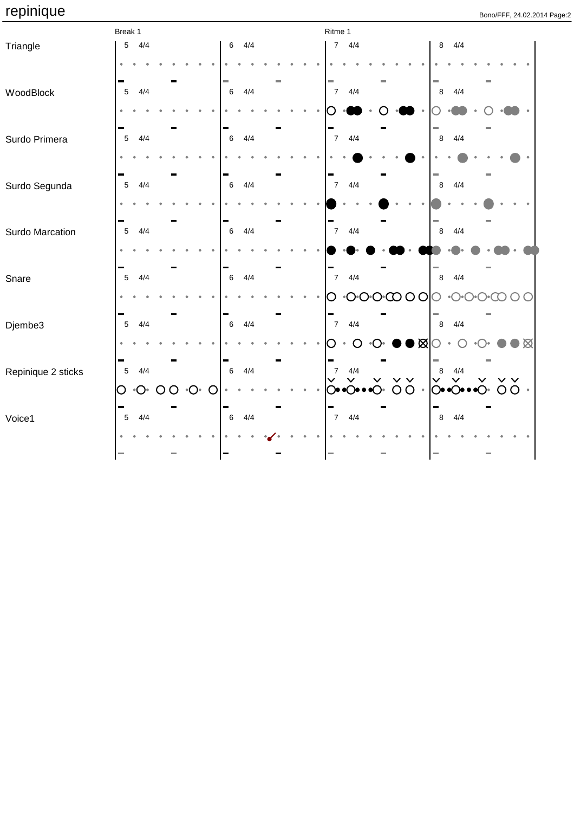|                    | Break 1         |                        |                |                   |   |                 |     |  |  | Ritme 1                  |                                                                 |  |                 |           |               |                             |  |               |             |  |
|--------------------|-----------------|------------------------|----------------|-------------------|---|-----------------|-----|--|--|--------------------------|-----------------------------------------------------------------|--|-----------------|-----------|---------------|-----------------------------|--|---------------|-------------|--|
| Triangle           | $\sqrt{5}$      | 4/4                    |                |                   |   | $6\phantom{.0}$ | 4/4 |  |  |                          | $7 \frac{4}{4}$                                                 |  |                 |           | 8             | 4/4                         |  |               |             |  |
|                    |                 |                        |                |                   |   |                 |     |  |  |                          |                                                                 |  |                 |           |               |                             |  |               |             |  |
| WoodBlock          | $5\phantom{.0}$ | 4/4                    |                |                   |   | $\,6\,$         | 4/4 |  |  | $\sim$<br>$\overline{7}$ | 4/4                                                             |  |                 |           | m.<br>$\,8\,$ | 4/4                         |  |               |             |  |
|                    |                 |                        |                |                   |   |                 |     |  |  |                          |                                                                 |  |                 |           |               |                             |  |               |             |  |
| Surdo Primera      | 5               | 4/4                    |                |                   |   | $6\,$           | 4/4 |  |  |                          | $7 \frac{4}{4}$                                                 |  |                 |           | $\,8\,$       | 4/4                         |  |               |             |  |
|                    |                 |                        |                |                   |   |                 |     |  |  |                          |                                                                 |  |                 |           |               |                             |  |               |             |  |
| Surdo Segunda      | $\overline{5}$  | 4/4                    |                |                   |   | $\,6\,$         | 4/4 |  |  | $7^{\circ}$              | 4/4                                                             |  |                 |           | $\,8\,$       | 4/4                         |  |               |             |  |
|                    |                 |                        |                |                   |   |                 |     |  |  |                          |                                                                 |  |                 |           |               |                             |  |               |             |  |
| Surdo Marcation    | $\overline{5}$  | 4/4                    |                |                   |   | $\,6\,$         | 4/4 |  |  |                          | $7 \frac{4}{4}$                                                 |  |                 |           | $\bf 8$       | 4/4                         |  |               |             |  |
|                    |                 |                        |                |                   |   |                 |     |  |  |                          |                                                                 |  |                 |           |               |                             |  |               |             |  |
| Snare              | $\overline{5}$  | 4/4                    |                |                   |   | $6\phantom{1}6$ | 4/4 |  |  | 7 <sup>7</sup>           | 4/4                                                             |  |                 |           | $\bf 8$       | 4/4                         |  |               |             |  |
|                    |                 |                        |                |                   |   |                 |     |  |  | O.                       | $\cdot$ O $\cdot$ O $\cdot$ $\circ$ $\circ$ $\circ$ O $\circ$ O |  |                 |           | O             | $\cdot$ ○ $\cdot$ ○ $\cdot$ |  |               |             |  |
| Djembe3            | $5\phantom{.0}$ | 4/4                    |                |                   |   | $6\,$           | 4/4 |  |  | $7\overline{ }$          | 4/4                                                             |  |                 |           | $\,8\,$       | 4/4                         |  |               |             |  |
|                    |                 |                        |                |                   |   |                 |     |  |  |                          | ∩                                                               |  | ◗◉▨             |           |               |                             |  |               | $\mathbb R$ |  |
| Repinique 2 sticks | $5\phantom{.0}$ | 4/4                    |                |                   |   | $6\,$           | 4/4 |  |  | $\overline{7}$           | 4/4<br>$\checkmark$                                             |  | $\vee$ $\vee$   |           | $\,8\,$       | 4/4<br>$\checkmark$         |  | $\vee$ $\vee$ |             |  |
|                    | $\bigcirc$      | $\circ \bigcirc \circ$ | $\overline{O}$ | $\cdot$ O $\cdot$ | O |                 |     |  |  |                          | $\odot \bullet \bullet \odot \bullet$                           |  | $\overline{O}O$ | $\bullet$ |               | ├───                        |  |               | $OO$ .      |  |
| Voice1             | 5               | 4/4                    |                |                   |   | $\,6\,$         | 4/4 |  |  |                          | $7 \frac{4}{4}$                                                 |  |                 |           | 8             | 4/4                         |  |               |             |  |
|                    |                 |                        |                |                   |   |                 |     |  |  |                          |                                                                 |  |                 |           |               |                             |  |               |             |  |
|                    |                 |                        |                |                   |   |                 |     |  |  | ÷,                       |                                                                 |  |                 |           |               |                             |  |               |             |  |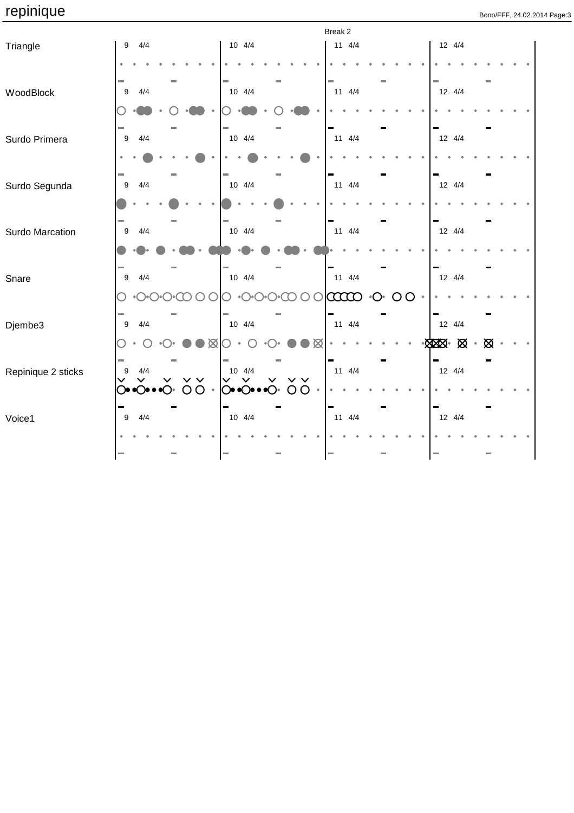|                    |                  |     |  |                |             |  |                           |   | Break 2     |             |                    |   |         |                                |        |   |  |  |
|--------------------|------------------|-----|--|----------------|-------------|--|---------------------------|---|-------------|-------------|--------------------|---|---------|--------------------------------|--------|---|--|--|
| Triangle           | 9                | 4/4 |  |                | $10 \t 4/4$ |  |                           |   | $11 \t 4/4$ |             |                    |   |         |                                | 12 4/4 |   |  |  |
|                    |                  |     |  |                |             |  |                           |   |             |             |                    |   |         |                                |        |   |  |  |
| WoodBlock          | 9                | 4/4 |  |                | 10 4/4      |  |                           |   |             | $11 \t 4/4$ |                    |   |         |                                | 12 4/4 |   |  |  |
|                    |                  |     |  |                |             |  |                           |   |             |             |                    |   |         |                                |        |   |  |  |
| Surdo Primera      | 9                | 4/4 |  |                | $10 \t 4/4$ |  |                           |   | $11 \t 4/4$ |             |                    |   |         |                                | 12 4/4 |   |  |  |
|                    |                  |     |  |                |             |  |                           |   |             |             |                    |   |         |                                |        |   |  |  |
| Surdo Segunda      | 9                | 4/4 |  |                | $10 \t 4/4$ |  |                           |   | $11 \t 4/4$ |             |                    |   |         | 12 4/4                         |        |   |  |  |
|                    |                  |     |  |                |             |  |                           |   |             |             |                    |   |         |                                |        |   |  |  |
| Surdo Marcation    | 9                | 4/4 |  |                | $10 \t 4/4$ |  |                           |   | $11 \t 4/4$ |             |                    |   |         | 12 4/4                         |        |   |  |  |
|                    |                  |     |  |                |             |  |                           |   |             |             |                    |   |         |                                |        |   |  |  |
| Snare              | 9                | 4/4 |  |                | $10 \t 4/4$ |  |                           |   |             | $11 \t 4/4$ |                    |   |         |                                | 12 4/4 |   |  |  |
|                    |                  |     |  |                |             |  |                           |   | coop        |             | $\cdot$ $\bigcirc$ | O | $\circ$ |                                |        |   |  |  |
| Djembe3            | $\boldsymbol{9}$ | 4/4 |  |                | $10 \t 4/4$ |  |                           |   |             | $11 \t 4/4$ |                    |   |         | 12 4/4                         |        |   |  |  |
|                    |                  |     |  | $\boxtimes$    |             |  |                           | Ø |             |             |                    |   |         | $\cdot$ XXX $\cdot$ XX $\cdot$ |        | ⊠ |  |  |
| Repinique 2 sticks | 9                | 4/4 |  |                | $10 \t 4/4$ |  | $\checkmark$ $\checkmark$ |   |             | $11 \t 4/4$ |                    |   |         |                                | 12 4/4 |   |  |  |
|                    |                  |     |  | O <sub>O</sub> | ○•○••○•○○   |  |                           |   |             |             |                    |   |         |                                |        |   |  |  |
| Voice1             | 9                | 4/4 |  |                | 10 4/4      |  |                           |   | $11 \t 4/4$ |             |                    |   |         | 12 4/4                         |        |   |  |  |
|                    |                  |     |  |                |             |  |                           |   |             |             |                    |   |         |                                |        |   |  |  |
|                    |                  |     |  |                |             |  |                           |   |             |             |                    |   |         |                                |        |   |  |  |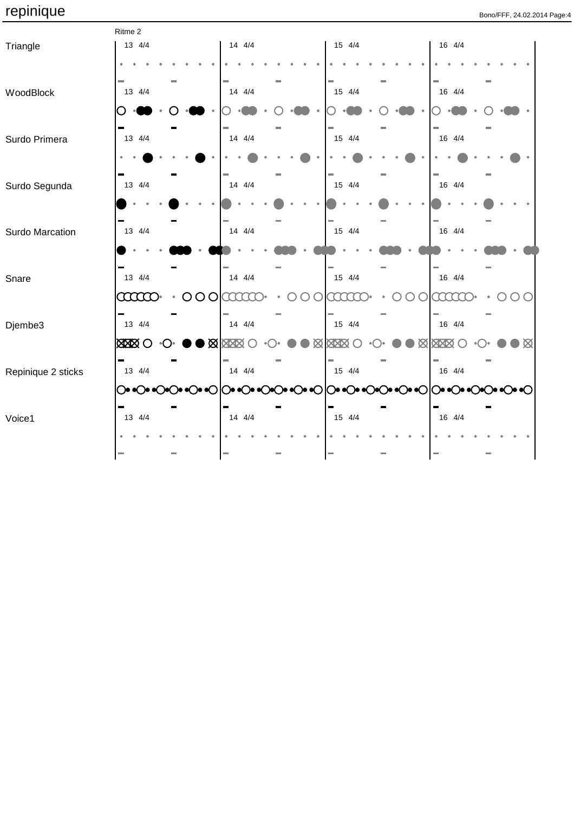|                    | Ritme 2       |              |                |   |            |              |             |
|--------------------|---------------|--------------|----------------|---|------------|--------------|-------------|
| Triangle           | 13 4/4        |              | 14 4/4         |   | 15 4/4     | 16 4/4       |             |
|                    |               |              |                |   |            |              |             |
|                    |               |              |                |   |            |              |             |
| WoodBlock          | 13 4/4        |              | 14 4/4         |   | 15 4/4     | 16 4/4       |             |
|                    |               |              |                |   |            |              |             |
|                    |               |              |                |   |            |              |             |
|                    |               |              | $14 \quad 4/4$ |   | 15 4/4     |              |             |
| Surdo Primera      | 13 4/4        |              |                |   |            | 16 4/4       |             |
|                    |               |              |                |   |            |              |             |
|                    |               |              |                |   |            |              |             |
| Surdo Segunda      | 13 4/4        |              | 14 4/4         |   | 15 4/4     | 16 4/4       |             |
|                    |               |              |                |   |            |              |             |
|                    |               |              |                |   |            |              |             |
| Surdo Marcation    | 13 4/4        |              | $14 \quad 4/4$ |   | 15 4/4     | 16 4/4       |             |
|                    |               |              |                |   |            |              |             |
|                    |               |              |                |   |            |              |             |
| Snare              | 13 4/4        |              | $14 \quad 4/4$ |   | 15 4/4     | 16 4/4       |             |
|                    |               |              |                |   |            |              |             |
|                    | <b>caaco</b>  | $\circ$<br>O | aaa            | C | ECCCC.     | aaa          |             |
|                    |               |              |                |   |            |              |             |
| Djembe3            | 13 4/4        |              | $14 \quad 4/4$ |   | 15 4/4     | 16 4/4       |             |
|                    | <b>XXXX</b> O |              | <b>XXXX</b>    |   | <b>XXX</b> | <b>X XXX</b> | $\boxtimes$ |
|                    |               |              |                |   |            |              |             |
| Repinique 2 sticks | 13 4/4        |              | $14 \t 4/4$    |   | 15 4/4     | 16 4/4       |             |
|                    |               |              |                |   |            |              |             |
|                    |               |              |                |   |            |              |             |
| Voice1             | 13 4/4        |              | 14 4/4         |   | 15 4/4     | 16 4/4       |             |
|                    |               |              |                |   |            |              |             |
|                    |               |              |                |   |            |              |             |
|                    |               |              |                |   |            |              |             |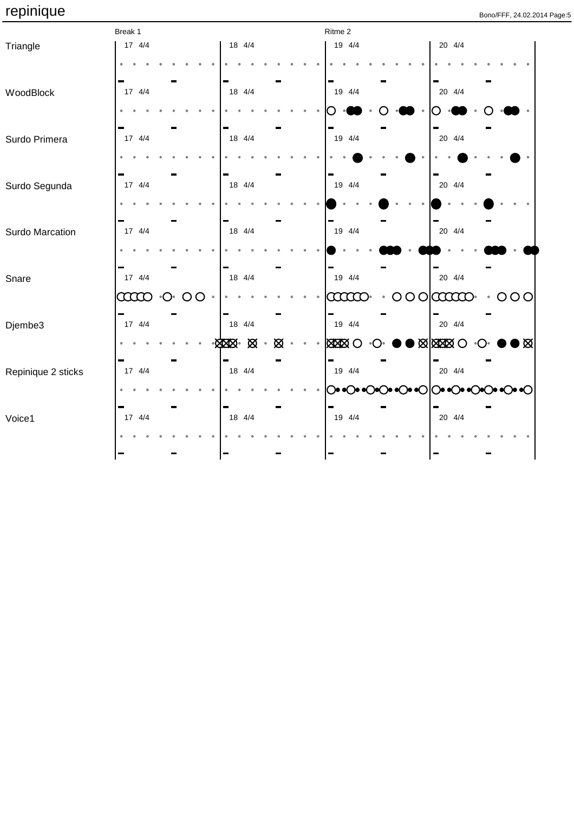|                    | Break 1          |                   |                 |                                |   | Ritme 2                  |                                                                     |
|--------------------|------------------|-------------------|-----------------|--------------------------------|---|--------------------------|---------------------------------------------------------------------|
| Triangle           | 17 4/4           |                   |                 | 18 4/4                         |   | 19 4/4                   | 20 4/4                                                              |
|                    |                  |                   |                 |                                |   |                          |                                                                     |
| WoodBlock          | 17 4/4           |                   |                 | 18 4/4                         |   | 19 4/4                   | 20 4/4                                                              |
|                    |                  |                   |                 |                                |   |                          |                                                                     |
| Surdo Primera      | 17 4/4           |                   |                 | 18 4/4                         |   | 19 4/4                   | 20 4/4                                                              |
|                    |                  |                   |                 |                                |   |                          |                                                                     |
| Surdo Segunda      | $17 \frac{4}{4}$ |                   |                 | 18 4/4                         |   | 19 4/4                   | 20 4/4                                                              |
|                    |                  |                   |                 |                                |   |                          |                                                                     |
| Surdo Marcation    | 17 4/4           |                   |                 | 18 4/4                         |   | 19 4/4                   | 20 4/4                                                              |
|                    |                  |                   |                 |                                |   |                          |                                                                     |
| Snare              | 17 4/4           |                   |                 | 18 4/4                         |   | 19 4/4                   | 20 4/4                                                              |
|                    | $\infty$         | $\cdot$ O $\cdot$ | $\overline{O}O$ |                                |   | <b>aano</b><br>$\bullet$ | 000<br>$\cdot$ OOO                                                  |
| Djembe3            | ÷<br>17 4/4      |                   |                 | 18 4/4                         |   | 19 4/4                   | 20 4/4                                                              |
|                    |                  |                   |                 | $-\times 10^{-1}$<br>$\bullet$ | ⊠ | <b>XXXXX</b> O           | $\bullet$ M $\otimes$ M $\otimes$<br>D⊠I<br>$\bullet$ ( ) $\bullet$ |
| Repinique 2 sticks | 17 4/4           |                   |                 | 18 4/4                         |   | 19 4/4                   | 20 4/4                                                              |
|                    |                  |                   |                 |                                |   |                          | ◯◉◉◯◉◉◯◎◎◯◉◉◯◎◎◯◎◎◯◎◎◯◎◎◯◎◎◯                                        |
| Voice1             | 17 4/4           |                   |                 | 18 4/4                         |   | 19 4/4                   | 20 4/4                                                              |
|                    |                  |                   |                 |                                |   |                          |                                                                     |
|                    |                  |                   |                 |                                |   |                          |                                                                     |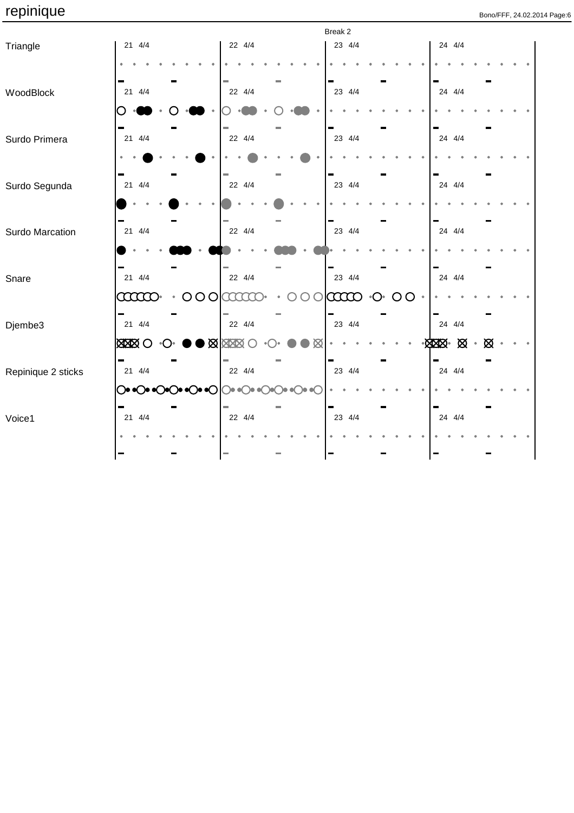|                    |              |                     |                    |                               | Break 2 |                          |                |   |
|--------------------|--------------|---------------------|--------------------|-------------------------------|---------|--------------------------|----------------|---|
| Triangle           | 21 4/4       |                     | 22 4/4             |                               | 23 4/4  |                          | 24 4/4         |   |
|                    |              |                     |                    |                               |         |                          |                |   |
| WoodBlock          | 21 4/4       |                     | 22 4/4             |                               | 23 4/4  |                          | 24 4/4         |   |
|                    |              |                     |                    |                               |         |                          |                |   |
| Surdo Primera      | 21 4/4       |                     | 22 4/4             |                               | 23 4/4  |                          | 24 4/4         |   |
|                    |              |                     |                    |                               |         |                          |                |   |
| Surdo Segunda      | 21 4/4       |                     | 22 4/4             |                               | 23 4/4  |                          | 24 4/4         |   |
|                    |              |                     |                    |                               |         |                          |                |   |
| Surdo Marcation    | 21 4/4       |                     | 22 4/4             |                               | 23 4/4  |                          | 24 4/4         |   |
|                    |              |                     |                    |                               |         |                          |                |   |
| Snare              | 21 4/4       |                     | 22 4/4             |                               | 23 4/4  |                          | 24 4/4         |   |
|                    | <b>aaao</b>  | $\circ \circ \circ$ | aaaa               |                               | laao    | $\cdot$ O $\cdot$<br>OO. |                |   |
| Djembe3            | 21 4/4       |                     | 22 4/4             |                               | 23 4/4  |                          | 24 4/4         |   |
|                    | <b>XXXXO</b> |                     | $\log$ Max $\odot$ | Ø                             |         |                          | $-8000$ $-800$ | ⊠ |
| Repinique 2 sticks | 21 4/4       |                     | 22 4/4             |                               | 23 4/4  |                          | 24 4/4         |   |
|                    |              | ◯♡♡♡♡ ↑♡ ↑♡         |                    | $\bullet$ $\bullet$ $\bullet$ |         |                          |                |   |
| Voice1             | 21 4/4       |                     | 22 4/4             |                               | 23 4/4  |                          | 24 4/4         |   |
|                    |              |                     |                    |                               |         |                          |                |   |
|                    |              |                     |                    |                               |         |                          |                |   |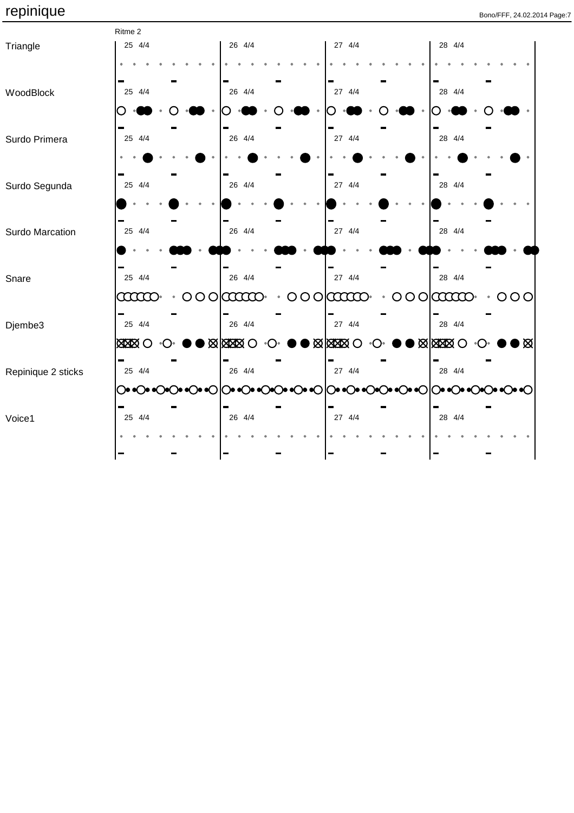|                    | Ritme 2       |                |           |                                   |                |             |
|--------------------|---------------|----------------|-----------|-----------------------------------|----------------|-------------|
| Triangle           | 25 4/4        | 26 4/4         |           | 27 4/4                            | 28 4/4         |             |
|                    |               |                |           |                                   |                |             |
|                    |               |                |           |                                   |                |             |
| WoodBlock          | 25 4/4        | 26 4/4         |           | 27 4/4                            | 28 4/4         |             |
|                    |               |                |           |                                   |                |             |
|                    |               |                |           |                                   |                |             |
| Surdo Primera      | 25 4/4        | 26 4/4         |           | 27 4/4                            | 28 4/4         |             |
|                    |               |                |           |                                   |                |             |
|                    |               |                |           |                                   |                |             |
| Surdo Segunda      | 25 4/4        | 26 4/4         |           | 27 4/4                            | 28 4/4         |             |
|                    |               |                |           |                                   |                |             |
|                    |               |                |           |                                   |                |             |
| Surdo Marcation    | 25 4/4        | 26 4/4         |           | 27 4/4                            | 28 4/4         |             |
|                    |               |                |           |                                   |                |             |
|                    |               |                |           |                                   |                |             |
| Snare              | 25 4/4        | 26 4/4         |           | 27 4/4                            | 28 4/4         |             |
|                    | $\infty$      | $000$ $\alpha$ | $\bullet$ | $000$ $\alpha$                    | $000$ $\alpha$ | $\cdot$ 000 |
|                    |               |                |           |                                   |                |             |
| Djembe3            | 25 4/4        | 26 4/4         |           | 27 4/4                            | 28 4/4         |             |
|                    | <b>BEBERO</b> | $\log 20$      |           | $\bullet$ M $\boxtimes$ M $\odot$ | $\log 20$      |             |
|                    |               |                |           |                                   |                |             |
| Repinique 2 sticks | 25 4/4        | 26 4/4         |           | 27 4/4                            | 28 4/4         |             |
|                    |               |                |           |                                   |                |             |
|                    |               |                |           |                                   |                |             |
| Voice1             | 25 4/4        | 26 4/4         |           | 27 4/4                            | 28 4/4         |             |
|                    |               |                |           |                                   |                |             |
|                    |               |                |           |                                   |                |             |